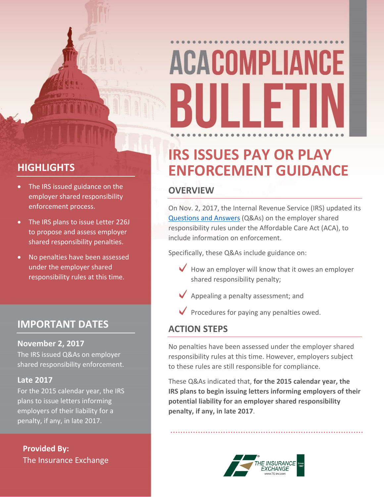# **ACACOMPLIANCE** III I F

# **HIGHLIGHTS**

- The IRS issued guidance on the employer shared responsibility enforcement process.
- The IRS plans to issue Letter 226J to propose and assess employer shared responsibility penalties.
- No penalties have been assessed under the employer shared responsibility rules at this time.

## **IMPORTANT DATES**

#### **November 2, 2017**

The IRS issued Q&As on employer shared responsibility enforcement.

#### **Late 2017**

For the 2015 calendar year, the IRS plans to issue letters informing employers of their liability for a penalty, if any, in late 2017.

**Provided By:** The Insurance Exchange

# **IRS ISSUES PAY OR PLAY ENFORCEMENT GUIDANCE**

### **OVERVIEW**

On Nov. 2, 2017, the Internal Revenue Service (IRS) updated its [Questions](https://www.irs.gov/affordable-care-act/employers/questions-and-answers-on-employer-shared-responsibility-provisions-under-the-affordable-care-act#Making) and Answers (Q&As) on the employer shared responsibility rules under the Affordable Care Act (ACA), to include information on enforcement.

Specifically, these Q&As include guidance on:

- $\blacktriangleright$  How an employer will know that it owes an employer shared responsibility penalty;
- $\blacktriangleright$  Appealing a penalty assessment; and
- $\blacktriangledown$  Procedures for paying any penalties owed.

### **ACTION STEPS**

No penalties have been assessed under the employer shared responsibility rules at this time. However, employers subject to these rules are still responsible for compliance.

These Q&As indicated that, **for the 2015 calendar year, the IRS plans to begin issuing letters informing employers of their potential liability for an employer shared responsibility penalty, if any, in late 2017**.

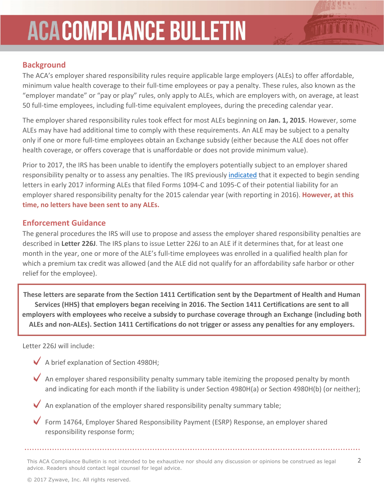# **ACACOMPLIANCE BULLETIN**

### **Background**

The ACA's employer shared responsibility rules require applicable large employers (ALEs) to offer affordable, minimum value health coverage to their full-time employees or pay a penalty. These rules, also known as the "employer mandate" or "pay or play" rules, only apply to ALEs, which are employers with, on average, at least 50 full-time employees, including full-time equivalent employees, during the preceding calendar year.

The employer shared responsibility rules took effect for most ALEs beginning on **Jan. 1, 2015**. However, some ALEs may have had additional time to comply with these requirements. An ALE may be subject to a penalty only if one or more full-time employees obtain an Exchange subsidy (either because the ALE does not offer health coverage, or offers coverage that is unaffordable or does not provide minimum value).

Prior to 2017, the IRS has been unable to identify the employers potentially subject to an employer shared responsibility penalty or to assess any penalties. The IRS previously [indicated](https://www.irs.gov/affordable-care-act/employers/questions-and-answers-on-employer-shared-responsibility-provisions-under-the-affordable-care-act) that it expected to begin sending letters in early 2017 informing ALEs that filed Forms 1094-C and 1095-C of their potential liability for an employer shared responsibility penalty for the 2015 calendar year (with reporting in 2016). **However, at this time, no letters have been sent to any ALEs.**

#### **Enforcement Guidance**

The general procedures the IRS will use to propose and assess the employer shared responsibility penalties are described in **Letter 226J**. The IRS plans to issue Letter 226J to an ALE if it determines that, for at least one month in the year, one or more of the ALE's full-time employees was enrolled in a qualified health plan for which a premium tax credit was allowed (and the ALE did not qualify for an affordability safe harbor or other relief for the employee).

**These letters are separate from the Section 1411 Certification sent by the Department of Health and Human Services (HHS) that employers began receiving in 2016. The Section 1411 Certifications are sent to all employers with employees who receive a subsidy to purchase coverage through an Exchange (including both ALEs and non-ALEs). Section 1411 Certifications do not trigger or assess any penalties for any employers.**

Letter 226J will include:

- $\blacktriangleright$  A brief explanation of Section 4980H;
- $\blacktriangledown$  An employer shared responsibility penalty summary table itemizing the proposed penalty by month and indicating for each month if the liability is under Section 4980H(a) or Section 4980H(b) (or neither);

 $\blacktriangleright$  An explanation of the employer shared responsibility penalty summary table;

 $\blacktriangledown$ Form 14764, Employer Shared Responsibility Payment (ESRP) Response, an employer shared responsibility response form;

This ACA Compliance Bulletin is not intended to be exhaustive nor should any discussion or opinions be construed as legal 2 advice. Readers should contact legal counsel for legal advice.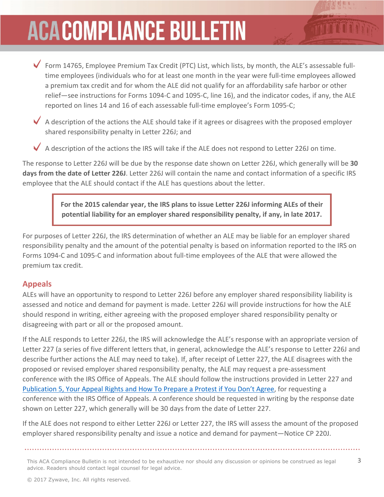# **ACACOMPLIANCE BULLETIN**

Form 14765, Employee Premium Tax Credit (PTC) List, which lists, by month, the ALE's assessable fulltime employees (individuals who for at least one month in the year were full-time employees allowed a premium tax credit and for whom the ALE did not qualify for an affordability safe harbor or other relief—see instructions for Forms 1094-C and 1095-C, line 16), and the indicator codes, if any, the ALE reported on lines 14 and 16 of each assessable full-time employee's Form 1095-C;

A description of the actions the ALE should take if it agrees or disagrees with the proposed employer shared responsibility penalty in Letter 226J; and

A description of the actions the IRS will take if the ALE does not respond to Letter 226J on time.

The response to Letter 226J will be due by the response date shown on Letter 226J, which generally will be **30 days from the date of Letter 226J**. Letter 226J will contain the name and contact information of a specific IRS employee that the ALE should contact if the ALE has questions about the letter.

> **For the 2015 calendar year, the IRS plans to issue Letter 226J informing ALEs of their potential liability for an employer shared responsibility penalty, if any, in late 2017.**

For purposes of Letter 226J, the IRS determination of whether an ALE may be liable for an employer shared responsibility penalty and the amount of the potential penalty is based on information reported to the IRS on Forms 1094-C and 1095-C and information about full-time employees of the ALE that were allowed the premium tax credit.

### **Appeals**

ALEs will have an opportunity to respond to Letter 226J before any employer shared responsibility liability is assessed and notice and demand for payment is made. Letter 226J will provide instructions for how the ALE should respond in writing, either agreeing with the proposed employer shared responsibility penalty or disagreeing with part or all or the proposed amount.

If the ALE responds to Letter 226J, the IRS will acknowledge the ALE's response with an appropriate version of Letter 227 (a series of five different letters that, in general, acknowledge the ALE's response to Letter 226J and describe further actions the ALE may need to take). If, after receipt of Letter 227, the ALE disagrees with the proposed or revised employer shared responsibility penalty, the ALE may request a pre-assessment conference with the IRS Office of Appeals. The ALE should follow the instructions provided in Letter 227 and [Publication](https://www.irs.gov/pub/irs-pdf/p5.pdf) 5, Your Appeal Rights and How To Prepare a Protest if You Don't Agree, for requesting a conference with the IRS Office of Appeals. A conference should be requested in writing by the response date shown on Letter 227, which generally will be 30 days from the date of Letter 227.

If the ALE does not respond to either Letter 226J or Letter 227, the IRS will assess the amount of the proposed employer shared responsibility penalty and issue a notice and demand for payment—Notice CP 220J.

This ACA Compliance Bulletin is not intended to be exhaustive nor should any discussion or opinions be construed as legal  $3$ advice. Readers should contact legal counsel for legal advice.